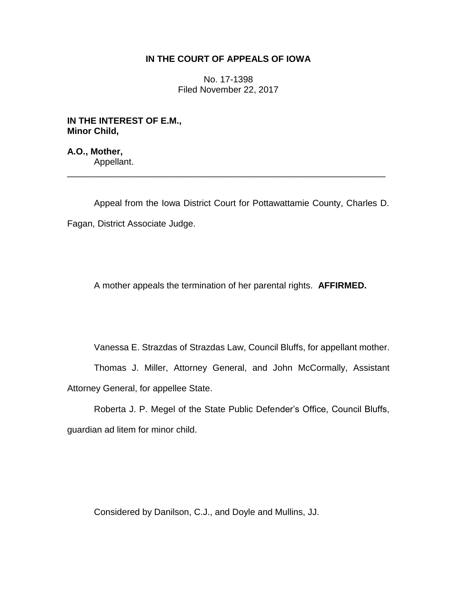# **IN THE COURT OF APPEALS OF IOWA**

No. 17-1398 Filed November 22, 2017

**IN THE INTEREST OF E.M., Minor Child,**

**A.O., Mother,** Appellant.

Appeal from the Iowa District Court for Pottawattamie County, Charles D. Fagan, District Associate Judge.

\_\_\_\_\_\_\_\_\_\_\_\_\_\_\_\_\_\_\_\_\_\_\_\_\_\_\_\_\_\_\_\_\_\_\_\_\_\_\_\_\_\_\_\_\_\_\_\_\_\_\_\_\_\_\_\_\_\_\_\_\_\_\_\_

A mother appeals the termination of her parental rights. **AFFIRMED.**

Vanessa E. Strazdas of Strazdas Law, Council Bluffs, for appellant mother.

Thomas J. Miller, Attorney General, and John McCormally, Assistant Attorney General, for appellee State.

Roberta J. P. Megel of the State Public Defender's Office, Council Bluffs, guardian ad litem for minor child.

Considered by Danilson, C.J., and Doyle and Mullins, JJ.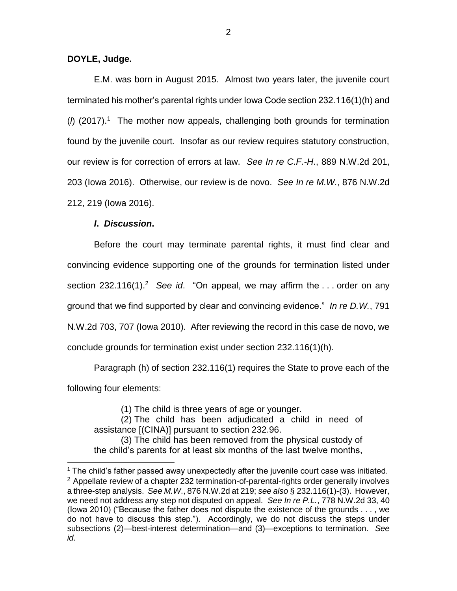## **DOYLE, Judge.**

E.M. was born in August 2015. Almost two years later, the juvenile court terminated his mother's parental rights under Iowa Code section 232.116(1)(h) and (*l*) (2017).<sup>1</sup> The mother now appeals, challenging both grounds for termination found by the juvenile court. Insofar as our review requires statutory construction, our review is for correction of errors at law. *See In re C.F.-H*., 889 N.W.2d 201, 203 (Iowa 2016). Otherwise, our review is de novo. *See In re M.W.*, 876 N.W.2d 212, 219 (Iowa 2016).

## *I***.** *Discussion***.**

 $\overline{a}$ 

Before the court may terminate parental rights, it must find clear and convincing evidence supporting one of the grounds for termination listed under section 232.116(1).<sup>2</sup> See id. "On appeal, we may affirm the ... order on any ground that we find supported by clear and convincing evidence." *In re D.W.*, 791 N.W.2d 703, 707 (Iowa 2010). After reviewing the record in this case de novo, we conclude grounds for termination exist under section 232.116(1)(h).

Paragraph (h) of section 232.116(1) requires the State to prove each of the following four elements:

(1) The child is three years of age or younger.

(2) The child has been adjudicated a child in need of assistance [(CINA)] pursuant to section 232.96.

(3) The child has been removed from the physical custody of the child's parents for at least six months of the last twelve months,

 $<sup>1</sup>$  The child's father passed away unexpectedly after the juvenile court case was initiated.</sup>  $2$  Appellate review of a chapter 232 termination-of-parental-rights order generally involves a three-step analysis. *See M.W*., 876 N.W.2d at 219; *see also* § 232.116(1)-(3). However, we need not address any step not disputed on appeal. *See In re P.L.*, 778 N.W.2d 33, 40 (Iowa 2010) ("Because the father does not dispute the existence of the grounds . . . , we do not have to discuss this step."). Accordingly, we do not discuss the steps under subsections (2)—best-interest determination—and (3)—exceptions to termination. *See id*.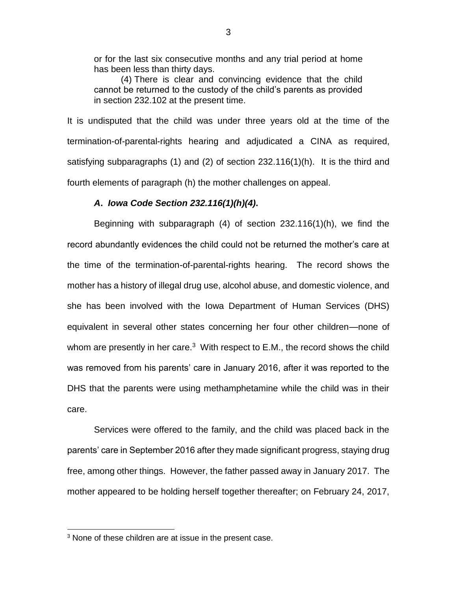or for the last six consecutive months and any trial period at home has been less than thirty days.

(4) There is clear and convincing evidence that the child cannot be returned to the custody of the child's parents as provided in section 232.102 at the present time.

It is undisputed that the child was under three years old at the time of the termination-of-parental-rights hearing and adjudicated a CINA as required, satisfying subparagraphs (1) and (2) of section 232.116(1)(h). It is the third and fourth elements of paragraph (h) the mother challenges on appeal.

## *A***.** *Iowa Code Section 232.116(1)(h)(4)***.**

Beginning with subparagraph (4) of section 232.116(1)(h), we find the record abundantly evidences the child could not be returned the mother's care at the time of the termination-of-parental-rights hearing. The record shows the mother has a history of illegal drug use, alcohol abuse, and domestic violence, and she has been involved with the Iowa Department of Human Services (DHS) equivalent in several other states concerning her four other children—none of whom are presently in her care. $3$  With respect to E.M., the record shows the child was removed from his parents' care in January 2016, after it was reported to the DHS that the parents were using methamphetamine while the child was in their care.

Services were offered to the family, and the child was placed back in the parents' care in September 2016 after they made significant progress, staying drug free, among other things. However, the father passed away in January 2017. The mother appeared to be holding herself together thereafter; on February 24, 2017,

 $\overline{a}$ 

 $3$  None of these children are at issue in the present case.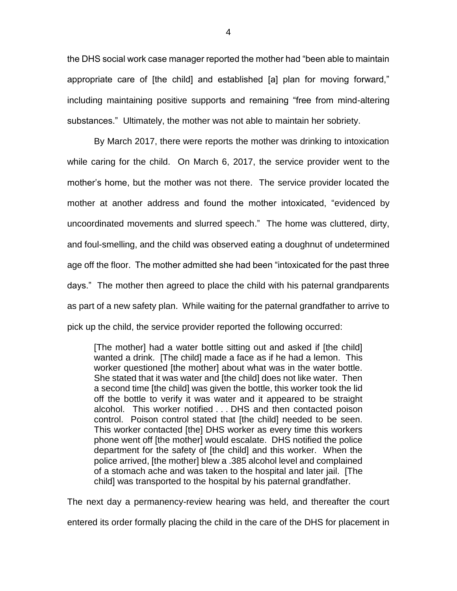the DHS social work case manager reported the mother had "been able to maintain appropriate care of [the child] and established [a] plan for moving forward," including maintaining positive supports and remaining "free from mind-altering substances." Ultimately, the mother was not able to maintain her sobriety.

By March 2017, there were reports the mother was drinking to intoxication while caring for the child. On March 6, 2017, the service provider went to the mother's home, but the mother was not there. The service provider located the mother at another address and found the mother intoxicated, "evidenced by uncoordinated movements and slurred speech." The home was cluttered, dirty, and foul-smelling, and the child was observed eating a doughnut of undetermined age off the floor. The mother admitted she had been "intoxicated for the past three days." The mother then agreed to place the child with his paternal grandparents as part of a new safety plan. While waiting for the paternal grandfather to arrive to pick up the child, the service provider reported the following occurred:

[The mother] had a water bottle sitting out and asked if [the child] wanted a drink. [The child] made a face as if he had a lemon. This worker questioned [the mother] about what was in the water bottle. She stated that it was water and [the child] does not like water. Then a second time [the child] was given the bottle, this worker took the lid off the bottle to verify it was water and it appeared to be straight alcohol. This worker notified . . . DHS and then contacted poison control. Poison control stated that [the child] needed to be seen. This worker contacted [the] DHS worker as every time this workers phone went off [the mother] would escalate. DHS notified the police department for the safety of [the child] and this worker. When the police arrived, [the mother] blew a .385 alcohol level and complained of a stomach ache and was taken to the hospital and later jail. [The child] was transported to the hospital by his paternal grandfather.

The next day a permanency-review hearing was held, and thereafter the court

entered its order formally placing the child in the care of the DHS for placement in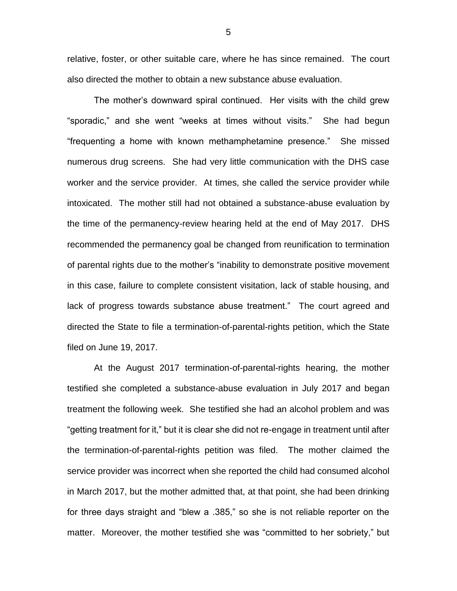relative, foster, or other suitable care, where he has since remained. The court also directed the mother to obtain a new substance abuse evaluation.

The mother's downward spiral continued. Her visits with the child grew "sporadic," and she went "weeks at times without visits." She had begun "frequenting a home with known methamphetamine presence." She missed numerous drug screens. She had very little communication with the DHS case worker and the service provider. At times, she called the service provider while intoxicated. The mother still had not obtained a substance-abuse evaluation by the time of the permanency-review hearing held at the end of May 2017. DHS recommended the permanency goal be changed from reunification to termination of parental rights due to the mother's "inability to demonstrate positive movement in this case, failure to complete consistent visitation, lack of stable housing, and lack of progress towards substance abuse treatment." The court agreed and directed the State to file a termination-of-parental-rights petition, which the State filed on June 19, 2017.

At the August 2017 termination-of-parental-rights hearing, the mother testified she completed a substance-abuse evaluation in July 2017 and began treatment the following week. She testified she had an alcohol problem and was "getting treatment for it," but it is clear she did not re-engage in treatment until after the termination-of-parental-rights petition was filed. The mother claimed the service provider was incorrect when she reported the child had consumed alcohol in March 2017, but the mother admitted that, at that point, she had been drinking for three days straight and "blew a .385," so she is not reliable reporter on the matter. Moreover, the mother testified she was "committed to her sobriety," but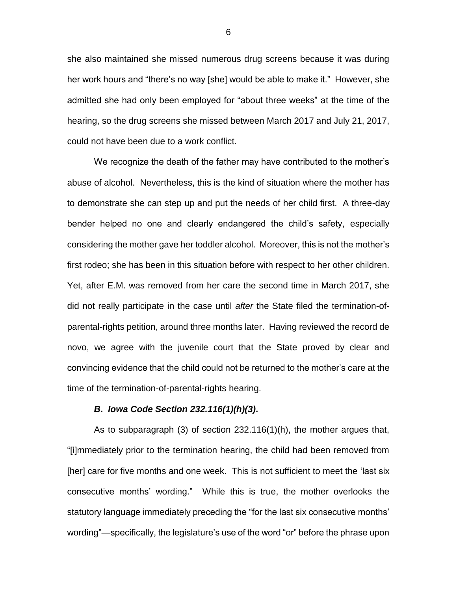she also maintained she missed numerous drug screens because it was during her work hours and "there's no way [she] would be able to make it." However, she admitted she had only been employed for "about three weeks" at the time of the hearing, so the drug screens she missed between March 2017 and July 21, 2017, could not have been due to a work conflict.

We recognize the death of the father may have contributed to the mother's abuse of alcohol. Nevertheless, this is the kind of situation where the mother has to demonstrate she can step up and put the needs of her child first. A three-day bender helped no one and clearly endangered the child's safety, especially considering the mother gave her toddler alcohol. Moreover, this is not the mother's first rodeo; she has been in this situation before with respect to her other children. Yet, after E.M. was removed from her care the second time in March 2017, she did not really participate in the case until *after* the State filed the termination-ofparental-rights petition, around three months later. Having reviewed the record de novo, we agree with the juvenile court that the State proved by clear and convincing evidence that the child could not be returned to the mother's care at the time of the termination-of-parental-rights hearing.

## *B***.** *Iowa Code Section 232.116(1)(h)(3)***.**

As to subparagraph (3) of section 232.116(1)(h), the mother argues that, "[i]mmediately prior to the termination hearing, the child had been removed from [her] care for five months and one week. This is not sufficient to meet the 'last six consecutive months' wording." While this is true, the mother overlooks the statutory language immediately preceding the "for the last six consecutive months' wording"—specifically, the legislature's use of the word "or" before the phrase upon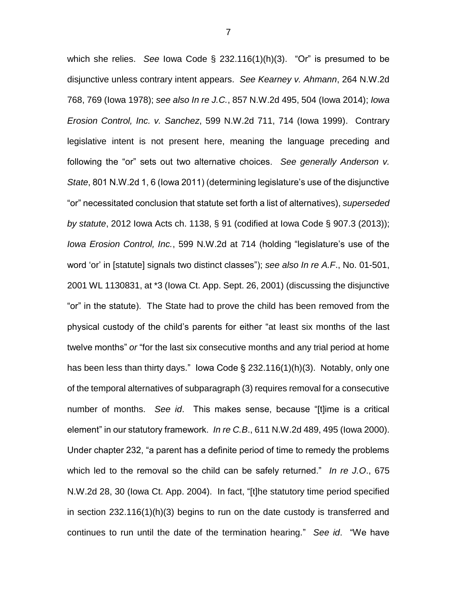which she relies. *See* Iowa Code § 232.116(1)(h)(3). "Or" is presumed to be disjunctive unless contrary intent appears. *See Kearney v. Ahmann*, 264 N.W.2d 768, 769 (Iowa 1978); *see also In re J.C.*, 857 N.W.2d 495, 504 (Iowa 2014); *Iowa Erosion Control, Inc. v. Sanchez*, 599 N.W.2d 711, 714 (Iowa 1999). Contrary legislative intent is not present here, meaning the language preceding and following the "or" sets out two alternative choices. *See generally Anderson v. State*, 801 N.W.2d 1, 6 (Iowa 2011) (determining legislature's use of the disjunctive "or" necessitated conclusion that statute set forth a list of alternatives), *superseded by statute*, 2012 Iowa Acts ch. 1138, § 91 (codified at Iowa Code § 907.3 (2013)); *Iowa Erosion Control, Inc.*, 599 N.W.2d at 714 (holding "legislature's use of the word 'or' in [statute] signals two distinct classes"); *see also In re A.F*., No. 01-501, 2001 WL 1130831, at \*3 (Iowa Ct. App. Sept. 26, 2001) (discussing the disjunctive "or" in the statute). The State had to prove the child has been removed from the physical custody of the child's parents for either "at least six months of the last twelve months" *or* "for the last six consecutive months and any trial period at home has been less than thirty days." lowa Code  $\S$  232.116(1)(h)(3). Notably, only one of the temporal alternatives of subparagraph (3) requires removal for a consecutive number of months. *See id*. This makes sense, because "[t]ime is a critical element" in our statutory framework. *In re C.B*., 611 N.W.2d 489, 495 (Iowa 2000). Under chapter 232, "a parent has a definite period of time to remedy the problems which led to the removal so the child can be safely returned." *In re J.O*., 675 N.W.2d 28, 30 (Iowa Ct. App. 2004). In fact, "[t]he statutory time period specified in section 232.116(1)(h)(3) begins to run on the date custody is transferred and continues to run until the date of the termination hearing." *See id*. "We have